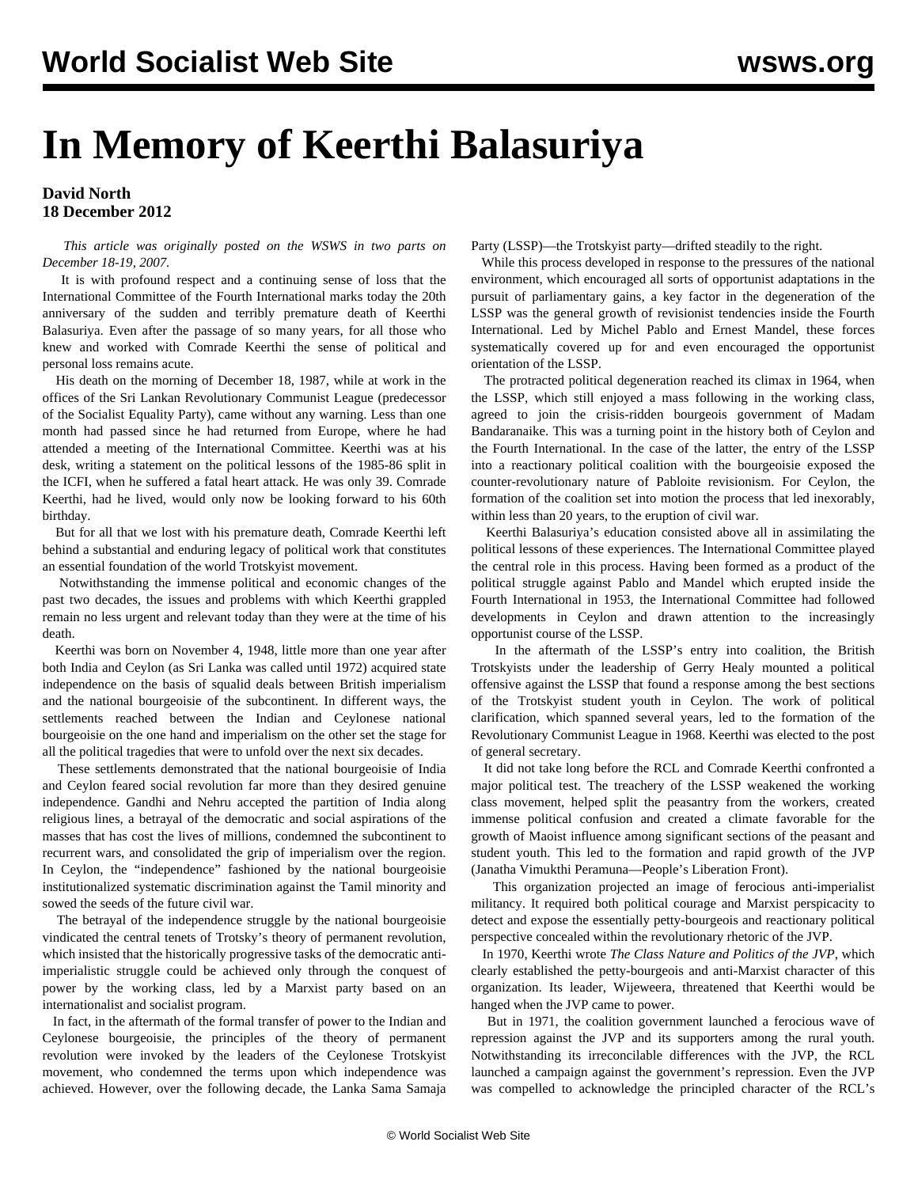## **In Memory of Keerthi Balasuriya**

## **David North 18 December 2012**

 *This article was originally posted on the WSWS in two parts on December 18-19, 2007.*

 It is with profound respect and a continuing sense of loss that the International Committee of the Fourth International marks today the 20th anniversary of the sudden and terribly premature death of Keerthi Balasuriya. Even after the passage of so many years, for all those who knew and worked with Comrade Keerthi the sense of political and personal loss remains acute.

 His death on the morning of December 18, 1987, while at work in the offices of the Sri Lankan Revolutionary Communist League (predecessor of the Socialist Equality Party), came without any warning. Less than one month had passed since he had returned from Europe, where he had attended a meeting of the International Committee. Keerthi was at his desk, writing a statement on the political lessons of the 1985-86 split in the ICFI, when he suffered a fatal heart attack. He was only 39. Comrade Keerthi, had he lived, would only now be looking forward to his 60th birthday.

 But for all that we lost with his premature death, Comrade Keerthi left behind a substantial and enduring legacy of political work that constitutes an essential foundation of the world Trotskyist movement.

 Notwithstanding the immense political and economic changes of the past two decades, the issues and problems with which Keerthi grappled remain no less urgent and relevant today than they were at the time of his death.

 Keerthi was born on November 4, 1948, little more than one year after both India and Ceylon (as Sri Lanka was called until 1972) acquired state independence on the basis of squalid deals between British imperialism and the national bourgeoisie of the subcontinent. In different ways, the settlements reached between the Indian and Ceylonese national bourgeoisie on the one hand and imperialism on the other set the stage for all the political tragedies that were to unfold over the next six decades.

 These settlements demonstrated that the national bourgeoisie of India and Ceylon feared social revolution far more than they desired genuine independence. Gandhi and Nehru accepted the partition of India along religious lines, a betrayal of the democratic and social aspirations of the masses that has cost the lives of millions, condemned the subcontinent to recurrent wars, and consolidated the grip of imperialism over the region. In Ceylon, the "independence" fashioned by the national bourgeoisie institutionalized systematic discrimination against the Tamil minority and sowed the seeds of the future civil war.

 The betrayal of the independence struggle by the national bourgeoisie vindicated the central tenets of Trotsky's theory of permanent revolution, which insisted that the historically progressive tasks of the democratic antiimperialistic struggle could be achieved only through the conquest of power by the working class, led by a Marxist party based on an internationalist and socialist program.

 In fact, in the aftermath of the formal transfer of power to the Indian and Ceylonese bourgeoisie, the principles of the theory of permanent revolution were invoked by the leaders of the Ceylonese Trotskyist movement, who condemned the terms upon which independence was achieved. However, over the following decade, the Lanka Sama Samaja

Party (LSSP)—the Trotskyist party—drifted steadily to the right.

 While this process developed in response to the pressures of the national environment, which encouraged all sorts of opportunist adaptations in the pursuit of parliamentary gains, a key factor in the degeneration of the LSSP was the general growth of revisionist tendencies inside the Fourth International. Led by Michel Pablo and Ernest Mandel, these forces systematically covered up for and even encouraged the opportunist orientation of the LSSP.

 The protracted political degeneration reached its climax in 1964, when the LSSP, which still enjoyed a mass following in the working class, agreed to join the crisis-ridden bourgeois government of Madam Bandaranaike. This was a turning point in the history both of Ceylon and the Fourth International. In the case of the latter, the entry of the LSSP into a reactionary political coalition with the bourgeoisie exposed the counter-revolutionary nature of Pabloite revisionism. For Ceylon, the formation of the coalition set into motion the process that led inexorably, within less than 20 years, to the eruption of civil war.

 Keerthi Balasuriya's education consisted above all in assimilating the political lessons of these experiences. The International Committee played the central role in this process. Having been formed as a product of the political struggle against Pablo and Mandel which erupted inside the Fourth International in 1953, the International Committee had followed developments in Ceylon and drawn attention to the increasingly opportunist course of the LSSP.

 In the aftermath of the LSSP's entry into coalition, the British Trotskyists under the leadership of Gerry Healy mounted a political offensive against the LSSP that found a response among the best sections of the Trotskyist student youth in Ceylon. The work of political clarification, which spanned several years, led to the formation of the Revolutionary Communist League in 1968. Keerthi was elected to the post of general secretary.

 It did not take long before the RCL and Comrade Keerthi confronted a major political test. The treachery of the LSSP weakened the working class movement, helped split the peasantry from the workers, created immense political confusion and created a climate favorable for the growth of Maoist influence among significant sections of the peasant and student youth. This led to the formation and rapid growth of the JVP (Janatha Vimukthi Peramuna—People's Liberation Front).

 This organization projected an image of ferocious anti-imperialist militancy. It required both political courage and Marxist perspicacity to detect and expose the essentially petty-bourgeois and reactionary political perspective concealed within the revolutionary rhetoric of the JVP.

 In 1970, Keerthi wrote *The Class Nature and Politics of the JVP*, which clearly established the petty-bourgeois and anti-Marxist character of this organization. Its leader, Wijeweera, threatened that Keerthi would be hanged when the JVP came to power.

 But in 1971, the coalition government launched a ferocious wave of repression against the JVP and its supporters among the rural youth. Notwithstanding its irreconcilable differences with the JVP, the RCL launched a campaign against the government's repression. Even the JVP was compelled to acknowledge the principled character of the RCL's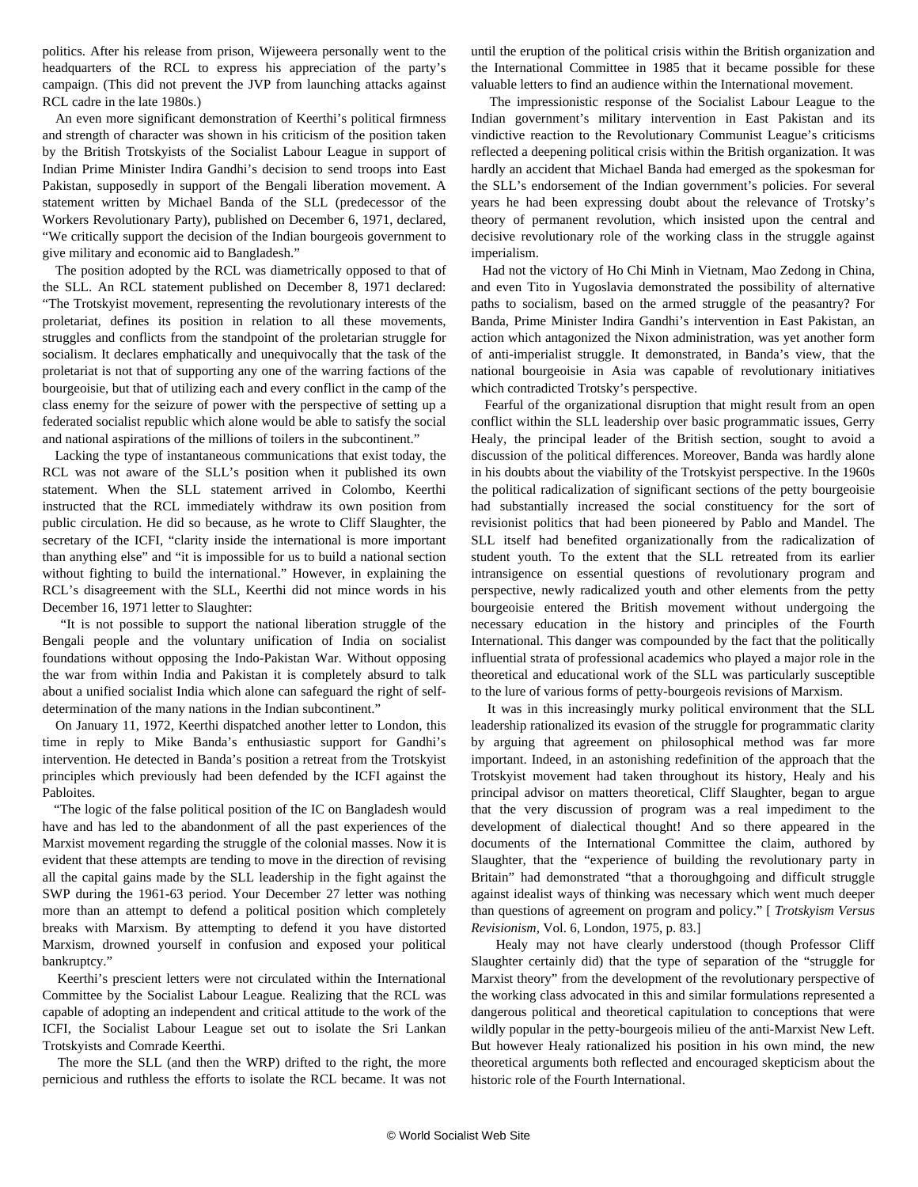politics. After his release from prison, Wijeweera personally went to the headquarters of the RCL to express his appreciation of the party's campaign. (This did not prevent the JVP from launching attacks against RCL cadre in the late 1980s.)

 An even more significant demonstration of Keerthi's political firmness and strength of character was shown in his criticism of the position taken by the British Trotskyists of the Socialist Labour League in support of Indian Prime Minister Indira Gandhi's decision to send troops into East Pakistan, supposedly in support of the Bengali liberation movement. A statement written by Michael Banda of the SLL (predecessor of the Workers Revolutionary Party), published on December 6, 1971, declared, "We critically support the decision of the Indian bourgeois government to give military and economic aid to Bangladesh."

 The position adopted by the RCL was diametrically opposed to that of the SLL. An RCL statement published on December 8, 1971 declared: "The Trotskyist movement, representing the revolutionary interests of the proletariat, defines its position in relation to all these movements, struggles and conflicts from the standpoint of the proletarian struggle for socialism. It declares emphatically and unequivocally that the task of the proletariat is not that of supporting any one of the warring factions of the bourgeoisie, but that of utilizing each and every conflict in the camp of the class enemy for the seizure of power with the perspective of setting up a federated socialist republic which alone would be able to satisfy the social and national aspirations of the millions of toilers in the subcontinent."

 Lacking the type of instantaneous communications that exist today, the RCL was not aware of the SLL's position when it published its own statement. When the SLL statement arrived in Colombo, Keerthi instructed that the RCL immediately withdraw its own position from public circulation. He did so because, as he wrote to Cliff Slaughter, the secretary of the ICFI, "clarity inside the international is more important than anything else" and "it is impossible for us to build a national section without fighting to build the international." However, in explaining the RCL's disagreement with the SLL, Keerthi did not mince words in his December 16, 1971 letter to Slaughter:

 "It is not possible to support the national liberation struggle of the Bengali people and the voluntary unification of India on socialist foundations without opposing the Indo-Pakistan War. Without opposing the war from within India and Pakistan it is completely absurd to talk about a unified socialist India which alone can safeguard the right of selfdetermination of the many nations in the Indian subcontinent."

 On January 11, 1972, Keerthi dispatched another letter to London, this time in reply to Mike Banda's enthusiastic support for Gandhi's intervention. He detected in Banda's position a retreat from the Trotskyist principles which previously had been defended by the ICFI against the Pabloites.

 "The logic of the false political position of the IC on Bangladesh would have and has led to the abandonment of all the past experiences of the Marxist movement regarding the struggle of the colonial masses. Now it is evident that these attempts are tending to move in the direction of revising all the capital gains made by the SLL leadership in the fight against the SWP during the 1961-63 period. Your December 27 letter was nothing more than an attempt to defend a political position which completely breaks with Marxism. By attempting to defend it you have distorted Marxism, drowned yourself in confusion and exposed your political bankruptcy."

 Keerthi's prescient letters were not circulated within the International Committee by the Socialist Labour League. Realizing that the RCL was capable of adopting an independent and critical attitude to the work of the ICFI, the Socialist Labour League set out to isolate the Sri Lankan Trotskyists and Comrade Keerthi.

 The more the SLL (and then the WRP) drifted to the right, the more pernicious and ruthless the efforts to isolate the RCL became. It was not until the eruption of the political crisis within the British organization and the International Committee in 1985 that it became possible for these valuable letters to find an audience within the International movement.

 The impressionistic response of the Socialist Labour League to the Indian government's military intervention in East Pakistan and its vindictive reaction to the Revolutionary Communist League's criticisms reflected a deepening political crisis within the British organization. It was hardly an accident that Michael Banda had emerged as the spokesman for the SLL's endorsement of the Indian government's policies. For several years he had been expressing doubt about the relevance of Trotsky's theory of permanent revolution, which insisted upon the central and decisive revolutionary role of the working class in the struggle against imperialism.

 Had not the victory of Ho Chi Minh in Vietnam, Mao Zedong in China, and even Tito in Yugoslavia demonstrated the possibility of alternative paths to socialism, based on the armed struggle of the peasantry? For Banda, Prime Minister Indira Gandhi's intervention in East Pakistan, an action which antagonized the Nixon administration, was yet another form of anti-imperialist struggle. It demonstrated, in Banda's view, that the national bourgeoisie in Asia was capable of revolutionary initiatives which contradicted Trotsky's perspective.

 Fearful of the organizational disruption that might result from an open conflict within the SLL leadership over basic programmatic issues, Gerry Healy, the principal leader of the British section, sought to avoid a discussion of the political differences. Moreover, Banda was hardly alone in his doubts about the viability of the Trotskyist perspective. In the 1960s the political radicalization of significant sections of the petty bourgeoisie had substantially increased the social constituency for the sort of revisionist politics that had been pioneered by Pablo and Mandel. The SLL itself had benefited organizationally from the radicalization of student youth. To the extent that the SLL retreated from its earlier intransigence on essential questions of revolutionary program and perspective, newly radicalized youth and other elements from the petty bourgeoisie entered the British movement without undergoing the necessary education in the history and principles of the Fourth International. This danger was compounded by the fact that the politically influential strata of professional academics who played a major role in the theoretical and educational work of the SLL was particularly susceptible to the lure of various forms of petty-bourgeois revisions of Marxism.

 It was in this increasingly murky political environment that the SLL leadership rationalized its evasion of the struggle for programmatic clarity by arguing that agreement on philosophical method was far more important. Indeed, in an astonishing redefinition of the approach that the Trotskyist movement had taken throughout its history, Healy and his principal advisor on matters theoretical, Cliff Slaughter, began to argue that the very discussion of program was a real impediment to the development of dialectical thought! And so there appeared in the documents of the International Committee the claim, authored by Slaughter, that the "experience of building the revolutionary party in Britain" had demonstrated "that a thoroughgoing and difficult struggle against idealist ways of thinking was necessary which went much deeper than questions of agreement on program and policy." [ *Trotskyism Versus Revisionism,* Vol. 6, London, 1975, p. 83.]

 Healy may not have clearly understood (though Professor Cliff Slaughter certainly did) that the type of separation of the "struggle for Marxist theory" from the development of the revolutionary perspective of the working class advocated in this and similar formulations represented a dangerous political and theoretical capitulation to conceptions that were wildly popular in the petty-bourgeois milieu of the anti-Marxist New Left. But however Healy rationalized his position in his own mind, the new theoretical arguments both reflected and encouraged skepticism about the historic role of the Fourth International.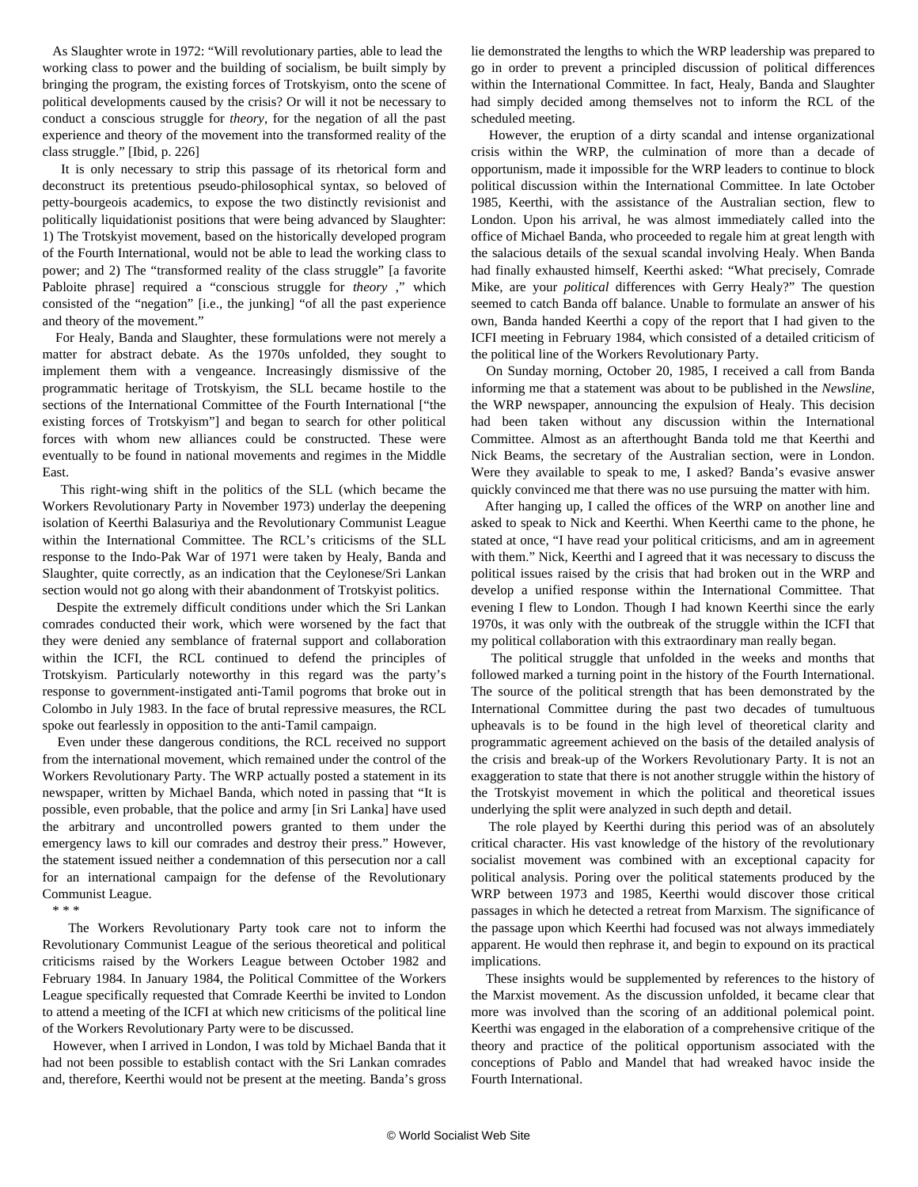As Slaughter wrote in 1972: "Will revolutionary parties, able to lead the working class to power and the building of socialism, be built simply by bringing the program, the existing forces of Trotskyism, onto the scene of political developments caused by the crisis? Or will it not be necessary to conduct a conscious struggle for *theory*, for the negation of all the past experience and theory of the movement into the transformed reality of the class struggle." [Ibid, p. 226]

 It is only necessary to strip this passage of its rhetorical form and deconstruct its pretentious pseudo-philosophical syntax, so beloved of petty-bourgeois academics, to expose the two distinctly revisionist and politically liquidationist positions that were being advanced by Slaughter: 1) The Trotskyist movement, based on the historically developed program of the Fourth International, would not be able to lead the working class to power; and 2) The "transformed reality of the class struggle" [a favorite Pabloite phrase] required a "conscious struggle for *theory* ," which consisted of the "negation" [i.e., the junking] "of all the past experience and theory of the movement."

 For Healy, Banda and Slaughter, these formulations were not merely a matter for abstract debate. As the 1970s unfolded, they sought to implement them with a vengeance. Increasingly dismissive of the programmatic heritage of Trotskyism, the SLL became hostile to the sections of the International Committee of the Fourth International ["the existing forces of Trotskyism"] and began to search for other political forces with whom new alliances could be constructed. These were eventually to be found in national movements and regimes in the Middle East.

 This right-wing shift in the politics of the SLL (which became the Workers Revolutionary Party in November 1973) underlay the deepening isolation of Keerthi Balasuriya and the Revolutionary Communist League within the International Committee. The RCL's criticisms of the SLL response to the Indo-Pak War of 1971 were taken by Healy, Banda and Slaughter, quite correctly, as an indication that the Ceylonese/Sri Lankan section would not go along with their abandonment of Trotskyist politics.

 Despite the extremely difficult conditions under which the Sri Lankan comrades conducted their work, which were worsened by the fact that they were denied any semblance of fraternal support and collaboration within the ICFI, the RCL continued to defend the principles of Trotskyism. Particularly noteworthy in this regard was the party's response to government-instigated anti-Tamil pogroms that broke out in Colombo in July 1983. In the face of brutal repressive measures, the RCL spoke out fearlessly in opposition to the anti-Tamil campaign.

 Even under these dangerous conditions, the RCL received no support from the international movement, which remained under the control of the Workers Revolutionary Party. The WRP actually posted a statement in its newspaper, written by Michael Banda, which noted in passing that "It is possible, even probable, that the police and army [in Sri Lanka] have used the arbitrary and uncontrolled powers granted to them under the emergency laws to kill our comrades and destroy their press." However, the statement issued neither a condemnation of this persecution nor a call for an international campaign for the defense of the Revolutionary Communist League.

\* \* \*

 The Workers Revolutionary Party took care not to inform the Revolutionary Communist League of the serious theoretical and political criticisms raised by the Workers League between October 1982 and February 1984. In January 1984, the Political Committee of the Workers League specifically requested that Comrade Keerthi be invited to London to attend a meeting of the ICFI at which new criticisms of the political line of the Workers Revolutionary Party were to be discussed.

 However, when I arrived in London, I was told by Michael Banda that it had not been possible to establish contact with the Sri Lankan comrades and, therefore, Keerthi would not be present at the meeting. Banda's gross

lie demonstrated the lengths to which the WRP leadership was prepared to go in order to prevent a principled discussion of political differences within the International Committee. In fact, Healy, Banda and Slaughter had simply decided among themselves not to inform the RCL of the scheduled meeting.

 However, the eruption of a dirty scandal and intense organizational crisis within the WRP, the culmination of more than a decade of opportunism, made it impossible for the WRP leaders to continue to block political discussion within the International Committee. In late October 1985, Keerthi, with the assistance of the Australian section, flew to London. Upon his arrival, he was almost immediately called into the office of Michael Banda, who proceeded to regale him at great length with the salacious details of the sexual scandal involving Healy. When Banda had finally exhausted himself, Keerthi asked: "What precisely, Comrade Mike, are your *political* differences with Gerry Healy?" The question seemed to catch Banda off balance. Unable to formulate an answer of his own, Banda handed Keerthi a copy of the report that I had given to the ICFI meeting in February 1984, which consisted of a detailed criticism of the political line of the Workers Revolutionary Party.

 On Sunday morning, October 20, 1985, I received a call from Banda informing me that a statement was about to be published in the *Newsline,* the WRP newspaper, announcing the expulsion of Healy. This decision had been taken without any discussion within the International Committee. Almost as an afterthought Banda told me that Keerthi and Nick Beams, the secretary of the Australian section, were in London. Were they available to speak to me, I asked? Banda's evasive answer quickly convinced me that there was no use pursuing the matter with him.

 After hanging up, I called the offices of the WRP on another line and asked to speak to Nick and Keerthi. When Keerthi came to the phone, he stated at once, "I have read your political criticisms, and am in agreement with them." Nick, Keerthi and I agreed that it was necessary to discuss the political issues raised by the crisis that had broken out in the WRP and develop a unified response within the International Committee. That evening I flew to London. Though I had known Keerthi since the early 1970s, it was only with the outbreak of the struggle within the ICFI that my political collaboration with this extraordinary man really began.

 The political struggle that unfolded in the weeks and months that followed marked a turning point in the history of the Fourth International. The source of the political strength that has been demonstrated by the International Committee during the past two decades of tumultuous upheavals is to be found in the high level of theoretical clarity and programmatic agreement achieved on the basis of the detailed analysis of the crisis and break-up of the Workers Revolutionary Party. It is not an exaggeration to state that there is not another struggle within the history of the Trotskyist movement in which the political and theoretical issues underlying the split were analyzed in such depth and detail.

 The role played by Keerthi during this period was of an absolutely critical character. His vast knowledge of the history of the revolutionary socialist movement was combined with an exceptional capacity for political analysis. Poring over the political statements produced by the WRP between 1973 and 1985, Keerthi would discover those critical passages in which he detected a retreat from Marxism. The significance of the passage upon which Keerthi had focused was not always immediately apparent. He would then rephrase it, and begin to expound on its practical implications.

 These insights would be supplemented by references to the history of the Marxist movement. As the discussion unfolded, it became clear that more was involved than the scoring of an additional polemical point. Keerthi was engaged in the elaboration of a comprehensive critique of the theory and practice of the political opportunism associated with the conceptions of Pablo and Mandel that had wreaked havoc inside the Fourth International.